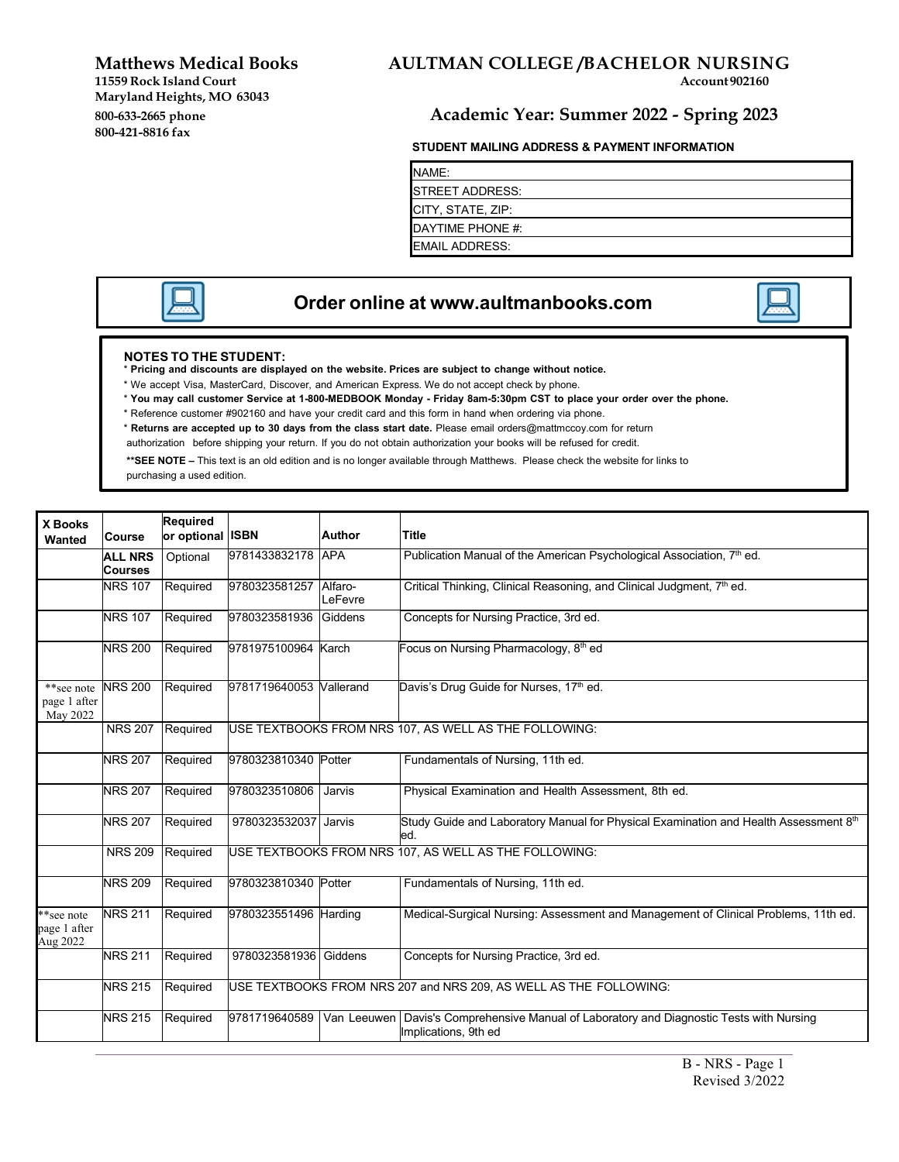**11559** Rock Island Court **Maryland Heights, MO 63043 800-421-8816 fax**

# **Matthews Medical Books AULTMAN COLLEGE /BACHELOR NURSING**

## **800-633-2665 phone Academic Year: Summer 2022 - Spring 2023**

#### **STUDENT MAILING ADDRESS & PAYMENT INFORMATION**

NAME: STREET ADDRESS: CITY, STATE, ZIP: DAYTIME PHONE #: EMAIL ADDRESS:



## **Order online at [www.aultmanbooks.com](http://www.aultmanbooks.com/)**

#### **NOTES TO THE STUDENT:**

\* **Pricing and discounts are displayed on the website. Prices are subject to change without notice.**

- \* We accept Visa, MasterCard, Discover, and American Express. We do not accept check by phone.
- \* You may call customer Service at 1-800-MEDBOOK Monday Friday 8am-5:30pm CST to place your order over the phone.
- \* Reference customer #902160 and have your credit card and this form in hand when ordering via phone.
- \* **Returns are accepted up to 30 days from the class start date.** Please email [orders@mattmccoy.com](mailto:orders@mattmccoy.com) for return
- authorization before shipping your return. If you do not obtain authorization your books will be refused for credit.

**\*\*SEE NOTE –** This text is an old edition and is no longer available through Matthews. Please check the website for links to purchasing a used edition.

| <b>X Books</b><br>Wanted                       | <b>Course</b>                    | Required<br>or optional ISBN |                         | <b>Author</b>                                         | <b>Title</b>                                                                                                       |
|------------------------------------------------|----------------------------------|------------------------------|-------------------------|-------------------------------------------------------|--------------------------------------------------------------------------------------------------------------------|
|                                                | <b>ALL NRS</b><br><b>Courses</b> | Optional                     | 9781433832178           | <b>APA</b>                                            | Publication Manual of the American Psychological Association, 7 <sup>th</sup> ed.                                  |
|                                                | <b>NRS 107</b>                   | Required                     | 9780323581257           | Alfaro-<br>LeFevre                                    | Critical Thinking, Clinical Reasoning, and Clinical Judgment, 7 <sup>th</sup> ed.                                  |
|                                                | <b>NRS 107</b>                   | Required                     | 9780323581936           | Giddens                                               | Concepts for Nursing Practice, 3rd ed.                                                                             |
|                                                | <b>NRS 200</b>                   | Required                     | 9781975100964 Karch     |                                                       | Focus on Nursing Pharmacology, 8 <sup>th</sup> ed                                                                  |
| **see note NRS 200<br>page 1 after<br>May 2022 |                                  | Required                     | 9781719640053 Vallerand |                                                       | Davis's Drug Guide for Nurses, 17 <sup>th</sup> ed.                                                                |
|                                                | <b>NRS 207</b>                   | Required                     |                         |                                                       | USE TEXTBOOKS FROM NRS 107, AS WELL AS THE FOLLOWING:                                                              |
|                                                | <b>NRS 207</b>                   | Required                     | 9780323810340           | Potter                                                | Fundamentals of Nursing, 11th ed.                                                                                  |
|                                                | <b>NRS 207</b>                   | Required                     | 9780323510806           | Jarvis                                                | Physical Examination and Health Assessment, 8th ed.                                                                |
|                                                | <b>NRS 207</b>                   | Required                     | 9780323532037           | Jarvis                                                | Study Guide and Laboratory Manual for Physical Examination and Health Assessment 8th<br>ed.                        |
|                                                | <b>NRS 209</b>                   | Required                     |                         | USE TEXTBOOKS FROM NRS 107, AS WELL AS THE FOLLOWING: |                                                                                                                    |
|                                                | <b>NRS 209</b>                   | Required                     | 9780323810340           | Potter                                                | Fundamentals of Nursing, 11th ed.                                                                                  |
| **see note<br>page 1 after<br>Aug 2022         | <b>NRS 211</b>                   | Required                     | 9780323551496 Harding   |                                                       | Medical-Surgical Nursing: Assessment and Management of Clinical Problems, 11th ed.                                 |
|                                                | <b>NRS 211</b>                   | Required                     | 9780323581936           | Giddens                                               | Concepts for Nursing Practice, 3rd ed.                                                                             |
|                                                | <b>NRS 215</b>                   | Required                     |                         |                                                       | USE TEXTBOOKS FROM NRS 207 and NRS 209, AS WELL AS THE FOLLOWING:                                                  |
|                                                | <b>NRS 215</b>                   | Required                     | 9781719640589           |                                                       | Van Leeuwen   Davis's Comprehensive Manual of Laboratory and Diagnostic Tests with Nursing<br>Implications, 9th ed |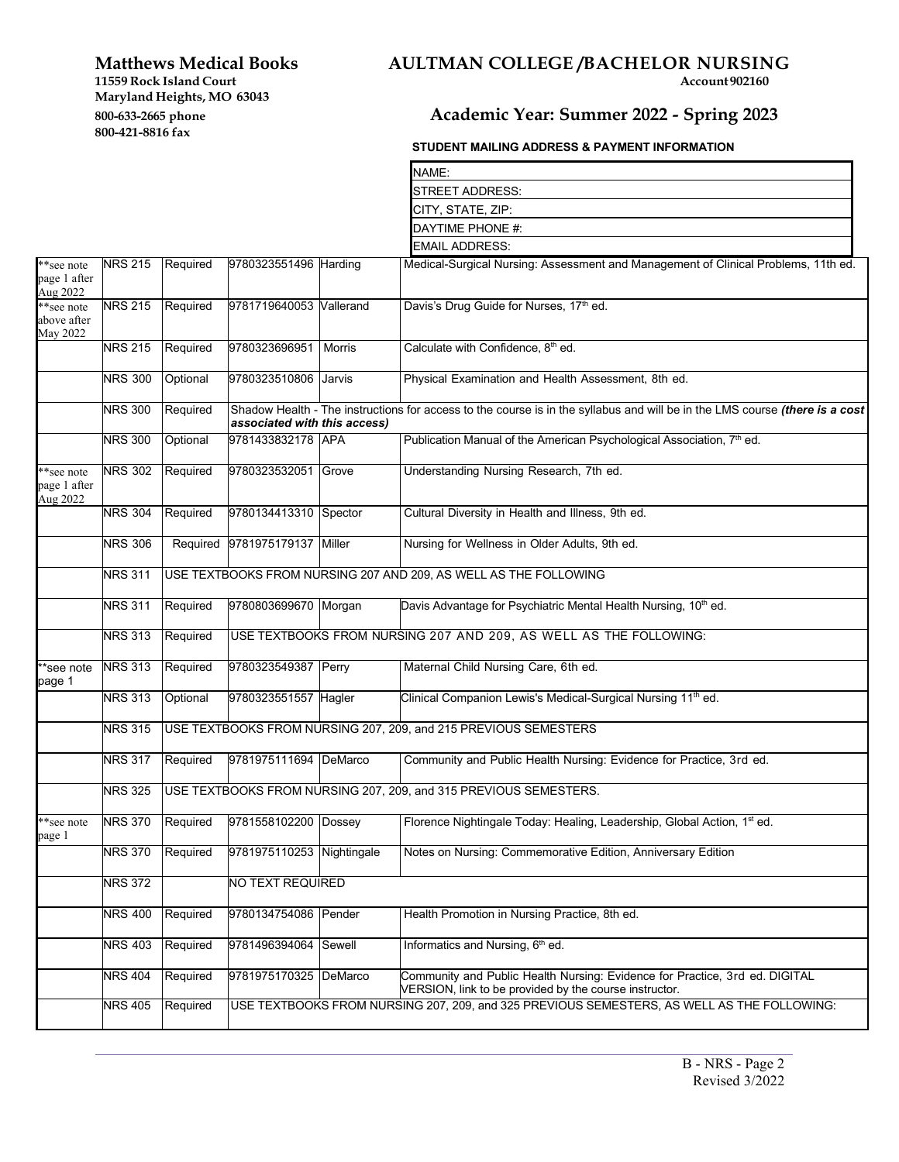**Maryland Heights, MO 63043** 

**800-421-8816 fax**

# **Matthews Medical Books AULTMAN COLLEGE /BACHELOR NURSING** 11559 Rock Island Court **Account**

# **800-633-2665 phone Academic Year: Summer 2022 - Spring 2023**

### **STUDENT MAILING ADDRESS & PAYMENT INFORMATION**

|                                              |                |                                                                  |                                                                  |        | NAME:                                                                                                                                 |  |  |  |  |
|----------------------------------------------|----------------|------------------------------------------------------------------|------------------------------------------------------------------|--------|---------------------------------------------------------------------------------------------------------------------------------------|--|--|--|--|
|                                              |                |                                                                  |                                                                  |        | STREET ADDRESS:                                                                                                                       |  |  |  |  |
|                                              |                |                                                                  |                                                                  |        | CITY, STATE, ZIP:                                                                                                                     |  |  |  |  |
|                                              |                |                                                                  |                                                                  |        | DAYTIME PHONE #:                                                                                                                      |  |  |  |  |
|                                              |                |                                                                  |                                                                  |        | <b>EMAIL ADDRESS:</b>                                                                                                                 |  |  |  |  |
| **see note                                   | <b>NRS 215</b> | Required                                                         | 9780323551496 Harding                                            |        | Medical-Surgical Nursing: Assessment and Management of Clinical Problems, 11th ed.                                                    |  |  |  |  |
| page 1 after<br>Aug 2022                     |                |                                                                  |                                                                  |        |                                                                                                                                       |  |  |  |  |
| **see note<br>above after<br><b>May 2022</b> | <b>NRS 215</b> | Required                                                         | 9781719640053 Vallerand                                          |        | Davis's Drug Guide for Nurses, 17th ed.                                                                                               |  |  |  |  |
|                                              | <b>NRS 215</b> | Required                                                         | 9780323696951                                                    | Morris | Calculate with Confidence, 8 <sup>th</sup> ed.                                                                                        |  |  |  |  |
|                                              | <b>NRS 300</b> | Optional                                                         | 9780323510806                                                    | Jarvis | Physical Examination and Health Assessment, 8th ed.                                                                                   |  |  |  |  |
|                                              | <b>NRS 300</b> | Required                                                         | associated with this access)                                     |        | Shadow Health - The instructions for access to the course is in the syllabus and will be in the LMS course (there is a cost           |  |  |  |  |
|                                              | <b>NRS 300</b> | Optional                                                         | 9781433832178 APA                                                |        | Publication Manual of the American Psychological Association, 7 <sup>th</sup> ed.                                                     |  |  |  |  |
| **see note<br>page 1 after<br>Aug 2022       | <b>NRS 302</b> | Required                                                         | 9780323532051                                                    | Grove  | Understanding Nursing Research, 7th ed.                                                                                               |  |  |  |  |
|                                              | <b>NRS 304</b> | Required                                                         | 9780134413310 Spector                                            |        | Cultural Diversity in Health and Illness, 9th ed.                                                                                     |  |  |  |  |
|                                              | <b>NRS 306</b> |                                                                  | Required 9781975179137 Miller                                    |        | Nursing for Wellness in Older Adults, 9th ed.                                                                                         |  |  |  |  |
|                                              | <b>NRS 311</b> |                                                                  | USE TEXTBOOKS FROM NURSING 207 AND 209, AS WELL AS THE FOLLOWING |        |                                                                                                                                       |  |  |  |  |
|                                              | <b>NRS 311</b> | Required                                                         | 9780803699670 Morgan                                             |        | Davis Advantage for Psychiatric Mental Health Nursing, 10 <sup>th</sup> ed.                                                           |  |  |  |  |
|                                              | <b>NRS 313</b> | Required                                                         |                                                                  |        | USE TEXTBOOKS FROM NURSING 207 AND 209, AS WELL AS THE FOLLOWING:                                                                     |  |  |  |  |
| **see note<br>page 1                         | <b>NRS 313</b> | Required                                                         | 9780323549387 Perry                                              |        | Maternal Child Nursing Care, 6th ed.                                                                                                  |  |  |  |  |
|                                              | <b>NRS 313</b> | Optional                                                         | 9780323551557 Hagler                                             |        | Clinical Companion Lewis's Medical-Surgical Nursing 11 <sup>th</sup> ed.                                                              |  |  |  |  |
|                                              | <b>NRS 315</b> | USE TEXTBOOKS FROM NURSING 207, 209, and 215 PREVIOUS SEMESTERS  |                                                                  |        |                                                                                                                                       |  |  |  |  |
|                                              | <b>NRS 317</b> | Required                                                         | 9781975111694 DeMarco                                            |        | Community and Public Health Nursing: Evidence for Practice, 3rd ed.                                                                   |  |  |  |  |
|                                              | <b>NRS 325</b> | USE TEXTBOOKS FROM NURSING 207, 209, and 315 PREVIOUS SEMESTERS. |                                                                  |        |                                                                                                                                       |  |  |  |  |
| **see note<br>page 1                         | <b>NRS 370</b> | Required                                                         | 9781558102200 Dossey                                             |        | Florence Nightingale Today: Healing, Leadership, Global Action, 1 <sup>st</sup> ed.                                                   |  |  |  |  |
|                                              | <b>NRS 370</b> | Required                                                         | 9781975110253 Nightingale                                        |        | Notes on Nursing: Commemorative Edition, Anniversary Edition                                                                          |  |  |  |  |
|                                              | <b>NRS 372</b> |                                                                  | NO TEXT REQUIRED                                                 |        |                                                                                                                                       |  |  |  |  |
|                                              | <b>NRS 400</b> | Required                                                         | 9780134754086 Pender                                             |        | Health Promotion in Nursing Practice, 8th ed.                                                                                         |  |  |  |  |
|                                              | <b>NRS 403</b> | Required                                                         | 9781496394064 Sewell                                             |        | Informatics and Nursing, 6 <sup>th</sup> ed.                                                                                          |  |  |  |  |
|                                              | <b>NRS 404</b> | Required                                                         | 9781975170325 DeMarco                                            |        | Community and Public Health Nursing: Evidence for Practice, 3rd ed. DIGITAL<br>VERSION, link to be provided by the course instructor. |  |  |  |  |
|                                              | <b>NRS 405</b> | Required                                                         |                                                                  |        | USE TEXTBOOKS FROM NURSING 207, 209, and 325 PREVIOUS SEMESTERS, AS WELL AS THE FOLLOWING:                                            |  |  |  |  |
|                                              |                |                                                                  |                                                                  |        |                                                                                                                                       |  |  |  |  |